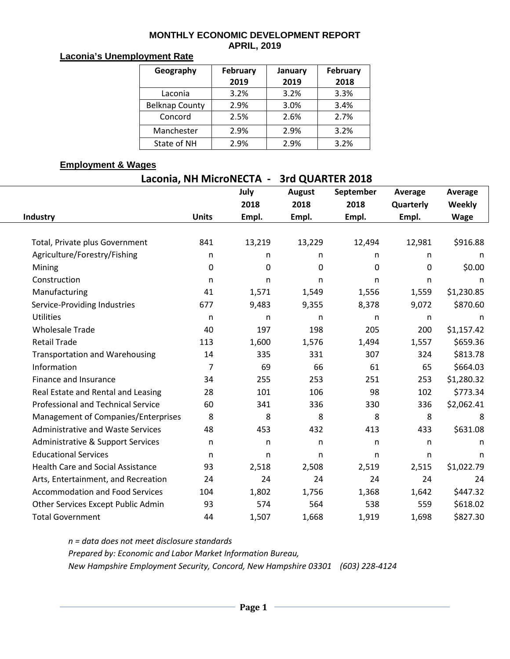#### **MONTHLY ECONOMIC DEVELOPMENT REPORT APRIL, 2019**

### **Laconia's Unemployment Rate**

| Geography             | <b>February</b> | January | February |  |  |
|-----------------------|-----------------|---------|----------|--|--|
|                       | 2019            | 2019    | 2018     |  |  |
| Laconia               | 3.2%            | 3.2%    | 3.3%     |  |  |
| <b>Belknap County</b> | 2.9%            | 3.0%    | 3.4%     |  |  |
| Concord               | 2.5%            | 2.6%    | 2.7%     |  |  |
| Manchester            | 2.9%            | 2.9%    | 3.2%     |  |  |
| State of NH           | 2.9%            | 2.9%    | 3.2%     |  |  |

### **Employment & Wages**

| Laconia, NH MicroNECTA -                 | 3rd QUARTER 2018 |              |               |              |              |              |  |
|------------------------------------------|------------------|--------------|---------------|--------------|--------------|--------------|--|
|                                          |                  | July         | <b>August</b> | September    | Average      | Average      |  |
|                                          |                  | 2018         | 2018          | 2018         | Quarterly    | Weekly       |  |
| Industry                                 | <b>Units</b>     | Empl.        | Empl.         | Empl.        | Empl.        | <b>Wage</b>  |  |
|                                          |                  |              |               |              |              |              |  |
| Total, Private plus Government           | 841              | 13,219       | 13,229        | 12,494       | 12,981       | \$916.88     |  |
| Agriculture/Forestry/Fishing             | n                | n            | n             | n            | n            | n            |  |
| Mining                                   | 0                | $\mathbf 0$  | 0             | 0            | $\mathbf{0}$ | \$0.00       |  |
| Construction                             | n                | n            | n             | n            | $\mathsf{n}$ | n            |  |
| Manufacturing                            | 41               | 1,571        | 1,549         | 1,556        | 1,559        | \$1,230.85   |  |
| Service-Providing Industries             | 677              | 9,483        | 9,355         | 8,378        | 9,072        | \$870.60     |  |
| <b>Utilities</b>                         | $\mathsf{n}$     | $\mathsf{n}$ | n             | n            | n            | $\mathsf{n}$ |  |
| <b>Wholesale Trade</b>                   | 40               | 197          | 198           | 205          | 200          | \$1,157.42   |  |
| <b>Retail Trade</b>                      | 113              | 1,600        | 1,576         | 1,494        | 1,557        | \$659.36     |  |
| <b>Transportation and Warehousing</b>    | 14               | 335          | 331           | 307          | 324          | \$813.78     |  |
| Information                              | 7                | 69           | 66            | 61           | 65           | \$664.03     |  |
| Finance and Insurance                    | 34               | 255          | 253           | 251          | 253          | \$1,280.32   |  |
| Real Estate and Rental and Leasing       | 28               | 101          | 106           | 98           | 102          | \$773.34     |  |
| Professional and Technical Service       | 60               | 341          | 336           | 330          | 336          | \$2,062.41   |  |
| Management of Companies/Enterprises      | 8                | 8            | 8             | 8            | 8            | 8            |  |
| <b>Administrative and Waste Services</b> | 48               | 453          | 432           | 413          | 433          | \$631.08     |  |
| Administrative & Support Services        | n.               | n            | n             | $\mathsf{n}$ | $\mathsf{n}$ | n            |  |
| <b>Educational Services</b>              | $\mathsf{n}$     | $\mathsf{n}$ | n             | n            | $\mathsf{n}$ | n            |  |
| <b>Health Care and Social Assistance</b> | 93               | 2,518        | 2,508         | 2,519        | 2,515        | \$1,022.79   |  |
| Arts, Entertainment, and Recreation      | 24               | 24           | 24            | 24           | 24           | 24           |  |
| <b>Accommodation and Food Services</b>   | 104              | 1,802        | 1,756         | 1,368        | 1,642        | \$447.32     |  |
| Other Services Except Public Admin       | 93               | 574          | 564           | 538          | 559          | \$618.02     |  |
| <b>Total Government</b>                  | 44               | 1,507        | 1,668         | 1,919        | 1,698        | \$827.30     |  |

*n = data does not meet disclosure standards Prepared by: Economic and Labor Market Information Bureau, New Hampshire Employment Security, Concord, New Hampshire 03301 (603) 228-4124*